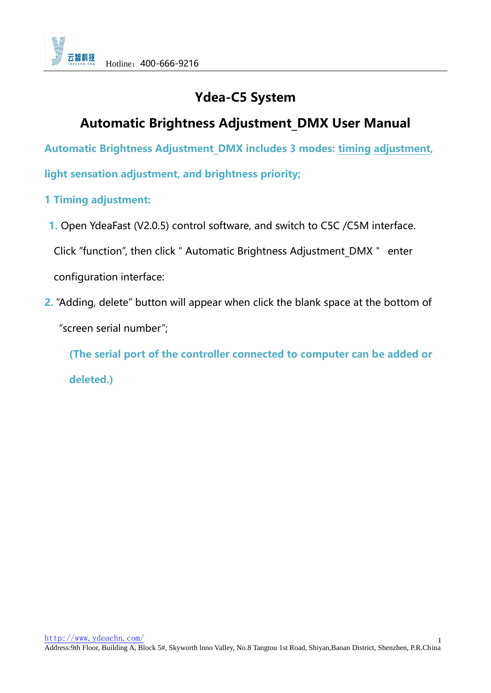# **Ydea-C5 System**

# **Automatic Brightness Adjustment\_DMX User Manual**

**Automatic Brightness Adjustment\_DMX includes 3 modes: [timing](javascript:void(0);) [adjustment,](javascript:void(0);)** 

**light sensation adjustment, and brightness priority;**

# **1 [Timing](javascript:void(0);) [adjustment:](javascript:void(0);)**

**1.** Open YdeaFast (V2.0.5) control software, and switch to C5C /C5M interface.

Click "function", then click " Automatic Brightness Adjustment DMX " enter

configuration interface:

**2.** "Adding, delete" button will appear when click the blank space at the bottom of

"screen serial number";

**(The serial port of the controller connected to computer can be added or deleted.)**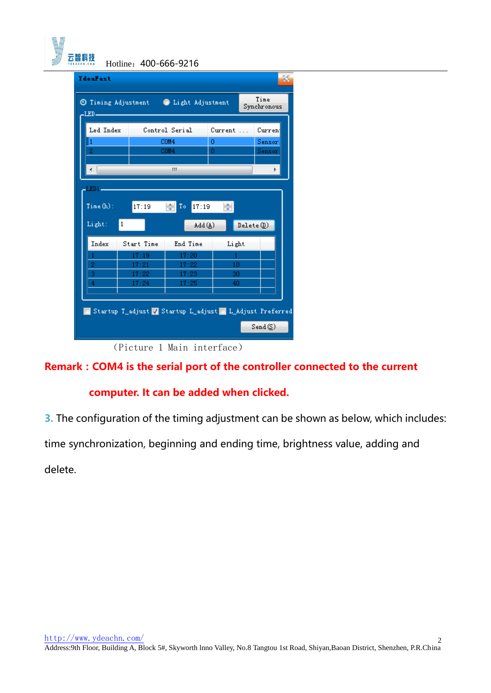| <b><i><u>YdeaFast</u></i></b> |                                        |                          |          | $\mathbf{x}$        |
|-------------------------------|----------------------------------------|--------------------------|----------|---------------------|
| -LED-                         | O Timing Adjustment O Light Adjustment |                          |          | Time<br>Synchronous |
| Led Index                     |                                        | Control Serial           | Current  | Current             |
|                               |                                        | COM4                     | 0        | Sensor              |
|                               |                                        | COM4                     | 0        | Sensor              |
|                               |                                        | ш                        |          | ħ                   |
|                               |                                        |                          |          |                     |
| LED1-                         |                                        |                          |          |                     |
| Time(h):                      | 17:19                                  | $\leftarrow$ To<br>17:19 | ÷        |                     |
| Light:                        | $\mathbf{1}$                           | Add (A)                  |          | Delete(D)           |
| Index                         | Start Time                             | End Time                 | Light    |                     |
|                               | 17:19                                  | 17:20                    |          |                     |
| 2                             | 17:21                                  | 17:22                    | 10       |                     |
| 3<br>4                        | 17:22<br>17:24                         | 17:23<br>17:25           | 30<br>40 |                     |
|                               |                                        |                          |          |                     |
|                               |                                        |                          |          |                     |

(Picture 1 Main interface)

**Remark:COM4 is the serial port of the controller connected to the current** 

## **computer. It can be added when clicked.**

**3.** The configuration of the timing adjustment can be shown as below, which includes:

time synchronization, beginning and ending time, brightness value, adding and

delete.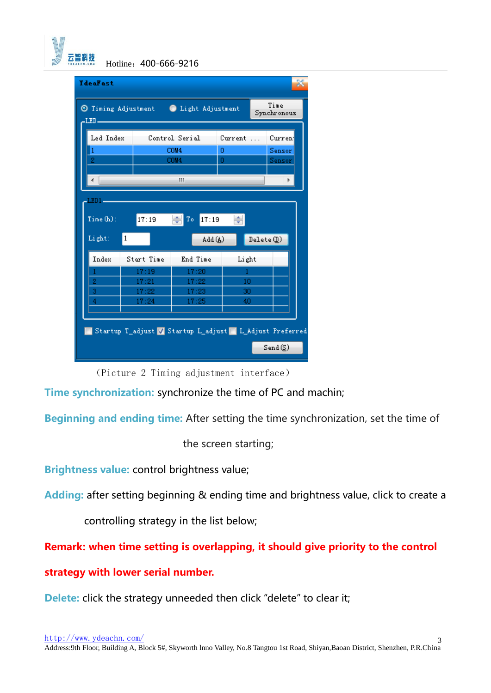

| <b>YdeaFast</b>                                                         |   |            |                                                        |         |  |                  |  |
|-------------------------------------------------------------------------|---|------------|--------------------------------------------------------|---------|--|------------------|--|
| Time<br>O Timing Adjustment O Light Adjustment<br>Synchronous<br>-LED – |   |            |                                                        |         |  |                  |  |
| Led Index                                                               |   |            | Control Serial                                         | Current |  | Curren           |  |
| 2                                                                       |   |            | COM4<br>COM4                                           | o<br>0  |  | Sensor<br>Sensor |  |
|                                                                         |   |            | ш                                                      |         |  | Þ                |  |
| LED1.                                                                   |   |            |                                                        |         |  |                  |  |
| Time(h):                                                                |   | 17:19      | ÷<br>17:19<br>To                                       |         |  |                  |  |
| Light:                                                                  | 1 |            | Add (A)                                                |         |  | Delete(D)        |  |
| Index                                                                   |   | Start Time | End Time                                               | Light   |  |                  |  |
|                                                                         |   | 17:19      | 17:20                                                  | 1       |  |                  |  |
| $\overline{c}$                                                          |   | 17:21      | 17:22                                                  | 10      |  |                  |  |
| 3                                                                       |   | 17:22      | 17:23                                                  | 30      |  |                  |  |
| 4                                                                       |   | 17:24      | 17:25                                                  | 40      |  |                  |  |
|                                                                         |   |            |                                                        |         |  |                  |  |
|                                                                         |   |            | Startup T_adjust Z Startup L_adjust L_Adjust Preferred |         |  |                  |  |
|                                                                         |   |            |                                                        |         |  | Send(S)          |  |

(Picture 2 Timing adjustment interface)

**Time synchronization:** synchronize the time of PC and machin;

**Beginning and ending time:** After setting the time synchronization, set the time of

the screen starting;

**Brightness value:** control brightness value;

**Adding:** after setting beginning & ending time and brightness value, click to create a

controlling strategy in the list below;

**Remark: when time setting is overlapping, it should give priority to the control** 

**strategy with lower serial number.**

**Delete:** click the strategy unneeded then click "delete" to clear it;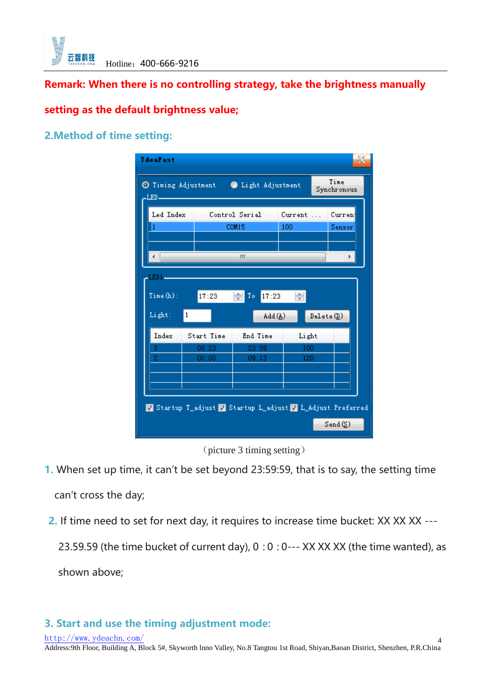

**Remark: When there is no controlling strategy, take the brightness manually** 

## **setting as the default brightness value;**

#### **2.Method of time setting:**

| <b><i><u>IdeaFast</u></i></b>                                          |                                                      |                              |                 |           |  |  |  |
|------------------------------------------------------------------------|------------------------------------------------------|------------------------------|-----------------|-----------|--|--|--|
| Time<br>O Timing Adjustment . Light Adjustment<br>Synchronous<br>-LED- |                                                      |                              |                 |           |  |  |  |
| Led Index                                                              |                                                      | Control Serial               | $Current \dots$ | Current   |  |  |  |
| 1                                                                      |                                                      | <b>COM15</b>                 | 100             | Sensor    |  |  |  |
|                                                                        |                                                      | ш                            |                 | ħ         |  |  |  |
| $LEDI -$                                                               |                                                      |                              |                 |           |  |  |  |
| Time(h):                                                               | 17:23                                                | $\Rightarrow$<br>To<br>17:23 | ÷               |           |  |  |  |
| Light:                                                                 | 1                                                    | Add (A)                      |                 | Delete(D) |  |  |  |
| Index                                                                  | Start Time                                           | End Time                     | Light           |           |  |  |  |
|                                                                        | 09:23                                                | 23:59                        | 100             |           |  |  |  |
| 2                                                                      | 00:00                                                | 09:13                        | 120             |           |  |  |  |
|                                                                        |                                                      |                              |                 |           |  |  |  |
|                                                                        |                                                      |                              |                 |           |  |  |  |
|                                                                        | Startup T_adjust Startup L_adjust L_Adjust Preferred |                              |                 |           |  |  |  |
|                                                                        |                                                      |                              |                 | Send(S)   |  |  |  |

(picture 3 timing setting)

- **1.** When set up time, it can't be set beyond 23:59:59, that is to say, the setting time can't cross the day;
- **2.** If time need to set for next day, it requires to increase time bucket: XX XX XX ---

23.59.59 (the time bucket of current day),  $0:0:0$  --- XX XX XX (the time wanted), as shown above;

## **3. Start and use the timing adjustment mode:**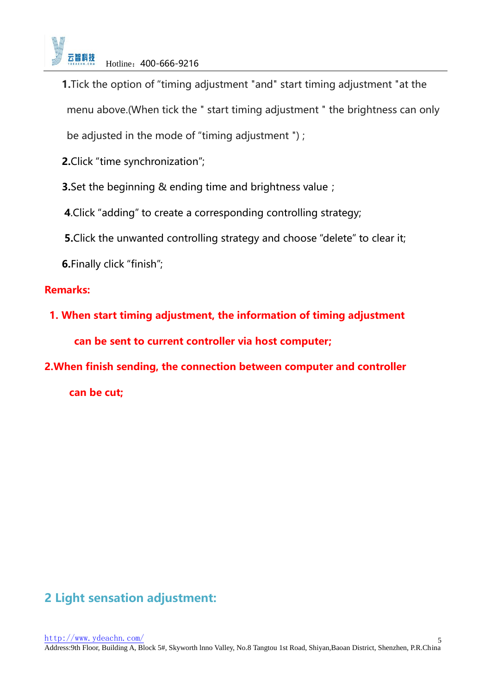

**1.**Tick the option of "timing adjustment "and" start timing adjustment "at the menu above.(When tick the " start timing adjustment " the brightness can only

be adjusted in the mode of "timing adjustment ") ;

**2.**Click "time synchronization";

**3.** Set the beginning & ending time and brightness value;

**4**.Click "adding" to create a corresponding controlling strategy;

**5.**Click the unwanted controlling strategy and choose "delete" to clear it;

**6.**Finally click "finish";

## **Remarks:**

**1. When start timing adjustment, the information of timing adjustment can be sent to current controller via host computer;**

**2.When finish sending, the connection between computer and controller** 

**can be cut;**

# **2 Light sensation adjustment:**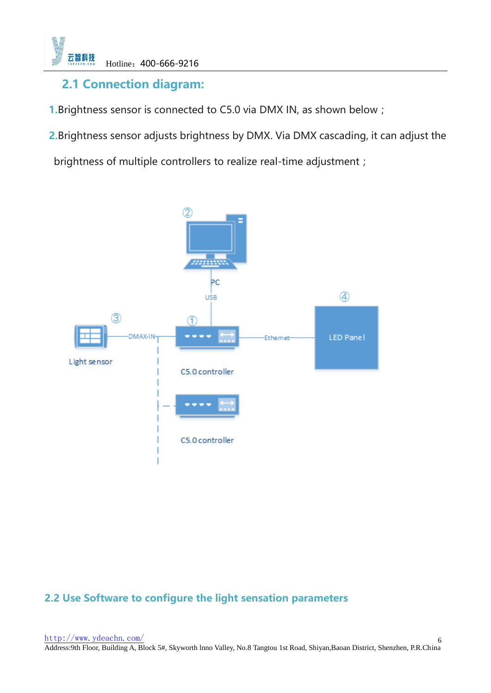

# **2.1 Connection diagram:**

**1.**Brightness sensor is connected to C5.0 via DMX IN, as shown below;

**2.**Brightness sensor adjusts brightness by DMX. Via DMX cascading, it can adjust the

brightness of multiple controllers to realize real-time adjustment;



# **2.2 Use Software to configure the light sensation parameters**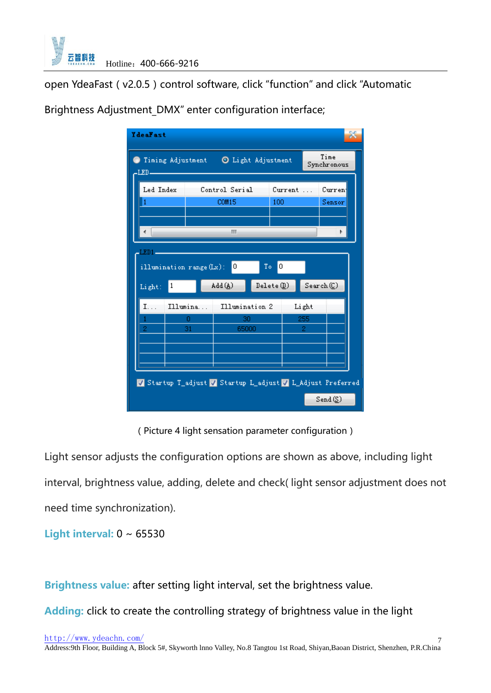

open YdeaFast (v2.0.5) control software, click "function" and click "Automatic

| <b><i><u>IdeaFast</u></i></b>                                 |                                                         |                      |             |           |           |                                |  |  |
|---------------------------------------------------------------|---------------------------------------------------------|----------------------|-------------|-----------|-----------|--------------------------------|--|--|
| Time<br>Timing Adjustment   O Light Adjustment<br>Synchronous |                                                         |                      |             |           |           |                                |  |  |
| Led Index Control Serial                                      |                                                         |                      |             | Current   |           | Curren                         |  |  |
|                                                               |                                                         | <b>COM15</b>         |             | 100       |           | Sensor                         |  |  |
|                                                               |                                                         | m.                   |             |           |           |                                |  |  |
| $LED1 =$                                                      |                                                         |                      |             |           |           |                                |  |  |
|                                                               | $\mathbb{T}\circ$<br>0<br>0<br>illumination range (Lx): |                      |             |           |           |                                |  |  |
| $\vert$ 1<br>Light:                                           |                                                         | $Add(\underline{A})$ |             | Delete(D) |           | Search(                        |  |  |
| I.                                                            | Illumina                                                | Illumination 2       |             |           | Light     |                                |  |  |
|                                                               | 0<br>31                                                 |                      | 30<br>65000 |           | 255<br>2. |                                |  |  |
|                                                               |                                                         |                      |             |           |           |                                |  |  |
|                                                               |                                                         |                      |             |           |           |                                |  |  |
| Startup T_adjust V Startup L_adjust V L_Adjust Preferred      |                                                         |                      |             |           |           |                                |  |  |
|                                                               |                                                         |                      |             |           |           | $Send(\underline{\mathbb{S}})$ |  |  |

Brightness Adjustment DMX" enter configuration interface;

(Picture 4 light sensation parameter configuration)

Light sensor adjusts the configuration options are shown as above, including light interval, brightness value, adding, delete and check( light sensor adjustment does not need time synchronization).

**Light interval:** 0 ~ 65530

**Brightness value:** after setting light interval, set the brightness value.

**Adding:** click to create the controlling strategy of brightness value in the light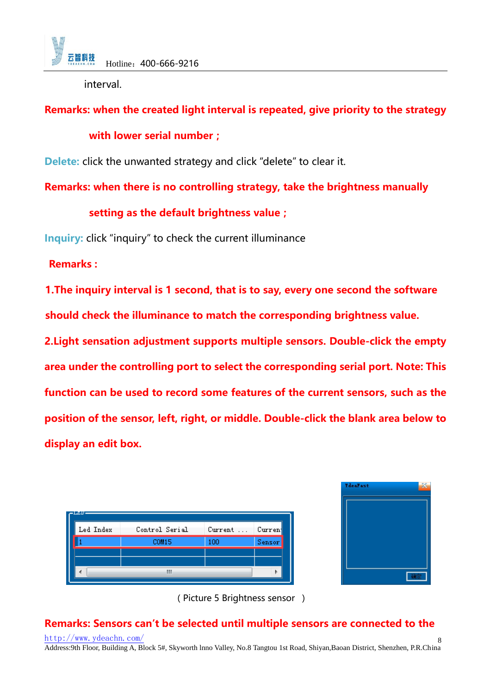

interval.

# **Remarks: when the created light interval is repeated, give priority to the strategy**

## **with lower serial number;**

**Delete:** click the unwanted strategy and click "delete" to clear it.

**Remarks: when there is no controlling strategy, take the brightness manually** 

## **setting as the default brightness value;**

**Inquiry:** click "inquiry" to check the current illuminance

**Remarks :**

**1.The inquiry interval is 1 second, that is to say, every one second the software should check the illuminance to match the corresponding brightness value.**

**2.Light sensation adjustment supports multiple sensors. Double-click the empty area under the controlling port to select the corresponding serial port. Note: This function can be used to record some features of the current sensors, such as the position of the sensor, left, right, or middle. Double-click the blank area below to display an edit box.**

| JM U      |                |         |         |
|-----------|----------------|---------|---------|
| Led Index | Control Serial | Current | Current |
|           | <b>COM15</b>   | 100     | Sensor  |
|           |                |         |         |
|           |                |         |         |



(Picture 5 Brightness sensor )

#### <http://www.ydeachn.com/> **Remarks: Sensors can't be selected until multiple sensors are connected to the**

Address:9th Floor, Building A, Block 5#, Skyworth lnno Valley, No.8 Tangtou 1st Road, Shiyan,Baoan District, Shenzhen, P.R.China 8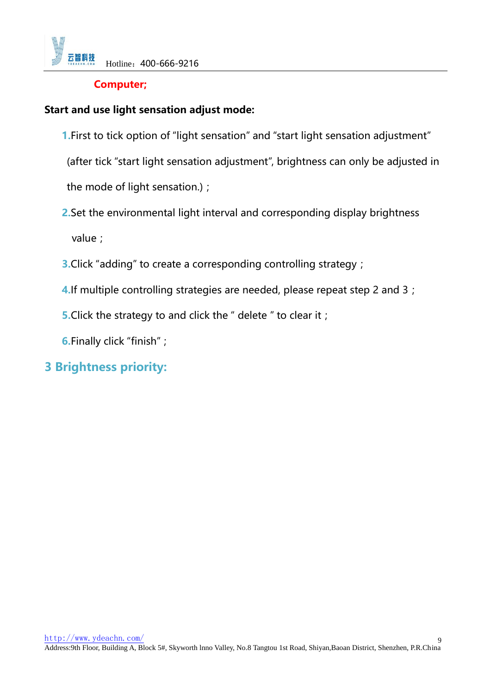

#### **Computer;**

#### **Start and use light sensation adjust mode:**

**1.**First to tick option of "light sensation" and "start light sensation adjustment"

(after tick "start light sensation adjustment", brightness can only be adjusted in

the mode of light sensation.);

- **2.**Set the environmental light interval and corresponding display brightness value;
- **3.**Click "adding" to create a corresponding controlling strategy;
- **4.**If multiple controlling strategies are needed, please repeat step 2 and 3;
- **5.** Click the strategy to and click the " delete " to clear it;
- **6.**Finally click "finish";

# **3 Brightness priority:**